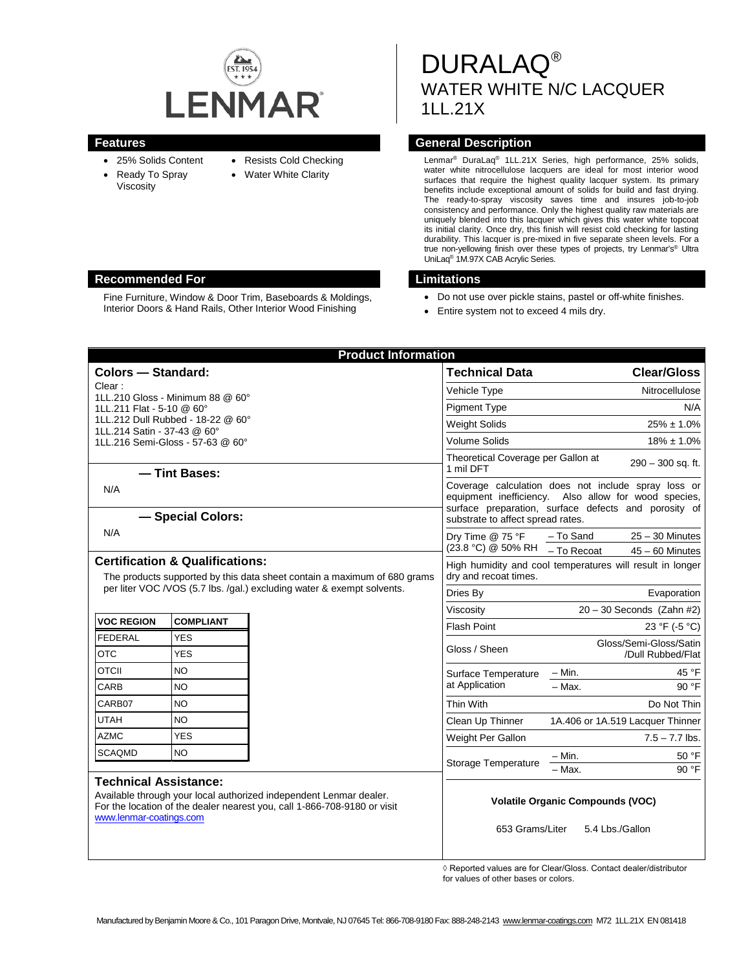

- 25% Solids Content
- Resists Cold Checking
- Ready To Spray Viscosity
- Water White Clarity
- **Features Features General Description**

Lenmar® DuraLaq® 1LL.21X Series, high performance, 25% solids, water white nitrocellulose lacquers are ideal for most interior wood surfaces that require the highest quality lacquer system. Its primary benefits include exceptional amount of solids for build and fast drying. The ready-to-spray viscosity saves time and insures job-to-job consistency and performance. Only the highest quality raw materials are uniquely blended into this lacquer which gives this water white topcoat its initial clarity. Once dry, this finish will resist cold checking for lasting durability. This lacquer is pre-mixed in five separate sheen levels. For a true non-yellowing finish over these types of projects, try Lenmar's® Ultra UniLaq® 1M.97X CAB Acrylic Series.

WATER WHITE N/C LACQUER

1LL.21X

- Do not use over pickle stains, pastel or off-white finishes.
- Entire system not to exceed 4 mils dry.

DURALAQ®

|                                                                                                                                                                                                           |                          | <b>Product Information</b> |                                                                                                                                                                                                          |                                                                    |
|-----------------------------------------------------------------------------------------------------------------------------------------------------------------------------------------------------------|--------------------------|----------------------------|----------------------------------------------------------------------------------------------------------------------------------------------------------------------------------------------------------|--------------------------------------------------------------------|
| <b>Colors - Standard:</b>                                                                                                                                                                                 |                          |                            | <b>Technical Data</b>                                                                                                                                                                                    | <b>Clear/Gloss</b>                                                 |
| Clear:                                                                                                                                                                                                    |                          |                            | Vehicle Type                                                                                                                                                                                             | Nitrocellulose                                                     |
| 1LL.210 Gloss - Minimum 88 @ 60°<br>1LL.211 Flat - 5-10 @ 60°                                                                                                                                             |                          |                            | <b>Pigment Type</b>                                                                                                                                                                                      | N/A                                                                |
| 1LL.212 Dull Rubbed - 18-22 @ 60°                                                                                                                                                                         |                          |                            | <b>Weight Solids</b>                                                                                                                                                                                     | $25\% \pm 1.0\%$                                                   |
| 1LL.214 Satin - 37-43 @ 60°<br>1LL.216 Semi-Gloss - 57-63 @ 60°                                                                                                                                           |                          |                            | <b>Volume Solids</b>                                                                                                                                                                                     | $18\% \pm 1.0\%$                                                   |
| - Tint Bases:                                                                                                                                                                                             |                          |                            | Theoretical Coverage per Gallon at<br>290 - 300 sq. ft.<br>1 mil DFT                                                                                                                                     |                                                                    |
| N/A<br>- Special Colors:                                                                                                                                                                                  |                          |                            | Coverage calculation does not include spray loss or<br>equipment inefficiency. Also allow for wood species,<br>surface preparation, surface defects and porosity of<br>substrate to affect spread rates. |                                                                    |
| N/A                                                                                                                                                                                                       |                          |                            | Dry Time @ 75 °F<br>(23.8 °C) @ 50% RH                                                                                                                                                                   | $25 - 30$ Minutes<br>- To Sand<br>- To Recoat<br>$45 - 60$ Minutes |
| <b>Certification &amp; Qualifications:</b><br>The products supported by this data sheet contain a maximum of 680 grams<br>per liter VOC / VOS (5.7 lbs. / gal.) excluding water & exempt solvents.        |                          |                            | High humidity and cool temperatures will result in longer<br>dry and recoat times.                                                                                                                       |                                                                    |
|                                                                                                                                                                                                           |                          |                            | Dries By                                                                                                                                                                                                 | Evaporation                                                        |
|                                                                                                                                                                                                           |                          |                            | Viscosity                                                                                                                                                                                                | $20 - 30$ Seconds (Zahn #2)                                        |
| <b>VOC REGION</b>                                                                                                                                                                                         | <b>COMPLIANT</b>         |                            | <b>Flash Point</b>                                                                                                                                                                                       | 23 °F (-5 °C)                                                      |
| <b>FEDERAL</b><br><b>OTC</b>                                                                                                                                                                              | <b>YES</b><br><b>YES</b> |                            | Gloss / Sheen                                                                                                                                                                                            | Gloss/Semi-Gloss/Satin<br>/Dull Rubbed/Flat                        |
| <b>OTCII</b>                                                                                                                                                                                              | NO.                      |                            | Surface Temperature<br>at Application                                                                                                                                                                    | $-$ Min.<br>45 °F                                                  |
| CARB                                                                                                                                                                                                      | <b>NO</b>                |                            |                                                                                                                                                                                                          | 90 °F<br>$-$ Max.                                                  |
| CARB07                                                                                                                                                                                                    | <b>NO</b>                |                            | Thin With                                                                                                                                                                                                | Do Not Thin                                                        |
| <b>UTAH</b>                                                                                                                                                                                               | <b>NO</b>                |                            | Clean Up Thinner                                                                                                                                                                                         | 1A.406 or 1A.519 Lacquer Thinner                                   |
| <b>AZMC</b>                                                                                                                                                                                               | <b>YES</b>               |                            | Weight Per Gallon                                                                                                                                                                                        | $7.5 - 7.7$ lbs.                                                   |
| <b>SCAQMD</b>                                                                                                                                                                                             | NO.                      |                            | Storage Temperature                                                                                                                                                                                      | $- Min.$<br>50 °F                                                  |
|                                                                                                                                                                                                           |                          |                            |                                                                                                                                                                                                          | $-$ Max.<br>90 °F                                                  |
| <b>Technical Assistance:</b><br>Available through your local authorized independent Lenmar dealer.<br>For the location of the dealer nearest you, call 1-866-708-9180 or visit<br>www.lenmar-coatings.com |                          |                            | <b>Volatile Organic Compounds (VOC)</b><br>653 Grams/Liter<br>5.4 Lbs./Gallon                                                                                                                            |                                                                    |

◊ Reported values are for Clear/Gloss. Contact dealer/distributor for values of other bases or colors.

#### **Recommended For Limitations**

Fine Furniture, Window & Door Trim, Baseboards & Moldings, Interior Doors & Hand Rails, Other Interior Wood Finishing